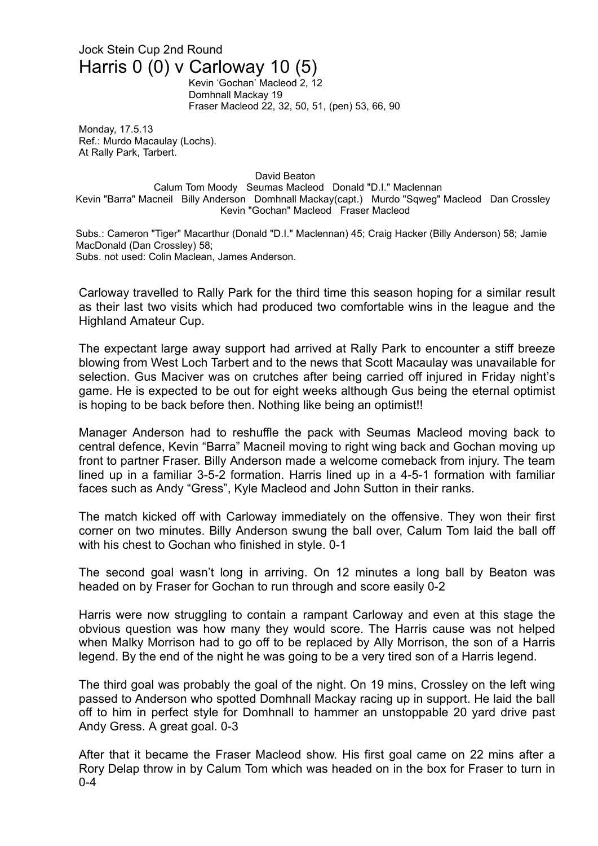## Jock Stein Cup 2nd Round Harris 0 (0) v Carloway 10 (5)

Kevin 'Gochan' Macleod 2, 12 Domhnall Mackay 19 Fraser Macleod 22, 32, 50, 51, (pen) 53, 66, 90

Monday, 17.5.13 Ref.: Murdo Macaulay (Lochs). At Rally Park, Tarbert.

David Beaton

Calum Tom Moody Seumas Macleod Donald "D.I." Maclennan Kevin "Barra" Macneil Billy Anderson Domhnall Mackay(capt.) Murdo "Sqweg" Macleod Dan Crossley Kevin "Gochan" Macleod Fraser Macleod

Subs.: Cameron "Tiger" Macarthur (Donald "D.I." Maclennan) 45; Craig Hacker (Billy Anderson) 58; Jamie MacDonald (Dan Crossley) 58; Subs. not used: Colin Maclean, James Anderson.

Carloway travelled to Rally Park for the third time this season hoping for a similar result as their last two visits which had produced two comfortable wins in the league and the Highland Amateur Cup.

The expectant large away support had arrived at Rally Park to encounter a stiff breeze blowing from West Loch Tarbert and to the news that Scott Macaulay was unavailable for selection. Gus Maciver was on crutches after being carried off injured in Friday night's game. He is expected to be out for eight weeks although Gus being the eternal optimist is hoping to be back before then. Nothing like being an optimist!!

Manager Anderson had to reshuffle the pack with Seumas Macleod moving back to central defence, Kevin "Barra" Macneil moving to right wing back and Gochan moving up front to partner Fraser. Billy Anderson made a welcome comeback from injury. The team lined up in a familiar 3-5-2 formation. Harris lined up in a 4-5-1 formation with familiar faces such as Andy "Gress", Kyle Macleod and John Sutton in their ranks.

The match kicked off with Carloway immediately on the offensive. They won their first corner on two minutes. Billy Anderson swung the ball over, Calum Tom laid the ball off with his chest to Gochan who finished in style. 0-1

The second goal wasn't long in arriving. On 12 minutes a long ball by Beaton was headed on by Fraser for Gochan to run through and score easily 0-2

Harris were now struggling to contain a rampant Carloway and even at this stage the obvious question was how many they would score. The Harris cause was not helped when Malky Morrison had to go off to be replaced by Ally Morrison, the son of a Harris legend. By the end of the night he was going to be a very tired son of a Harris legend.

The third goal was probably the goal of the night. On 19 mins, Crossley on the left wing passed to Anderson who spotted Domhnall Mackay racing up in support. He laid the ball off to him in perfect style for Domhnall to hammer an unstoppable 20 yard drive past Andy Gress. A great goal. 0-3

After that it became the Fraser Macleod show. His first goal came on 22 mins after a Rory Delap throw in by Calum Tom which was headed on in the box for Fraser to turn in 0-4